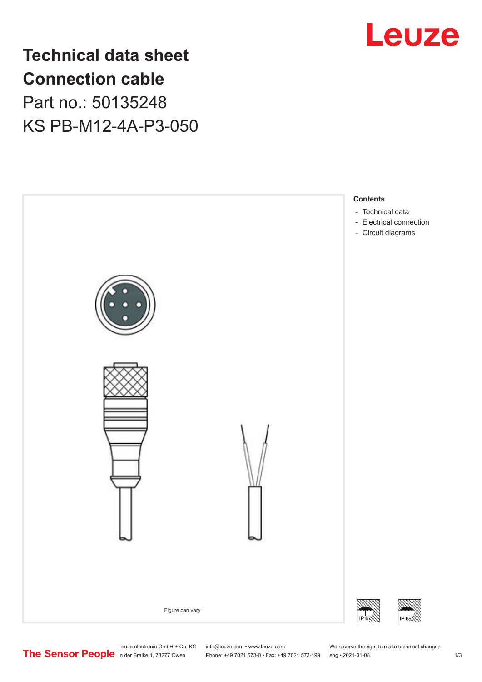

**Technical data sheet Connection cable** Part no.: 50135248 KS PB-M12-4A-P3-050



Phone: +49 7021 573-0 • Fax: +49 7021 573-199 eng • 2021-01-08 1 2021

Leuze electronic GmbH + Co. KG info@leuze.com • www.leuze.com We reserve the right to make technical changes<br>
The Sensor People in der Braike 1, 73277 Owen Phone: +49 7021 573-0 • Fax: +49 7021 573-199 eng • 2021-01-08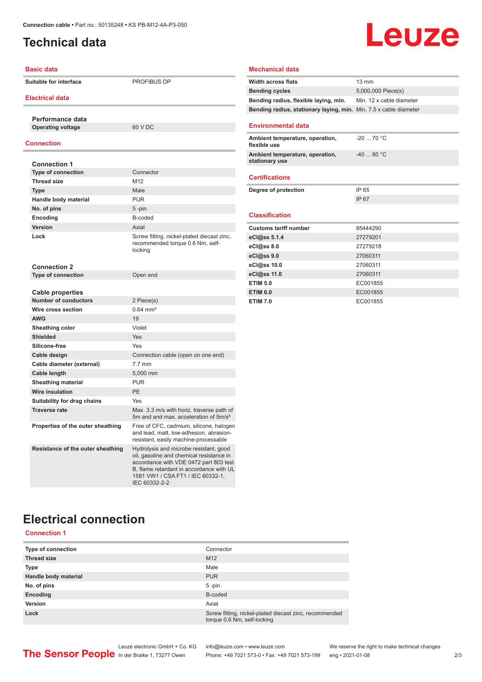## <span id="page-1-0"></span>**Technical data**

# Leuze

| <b>Basic data</b>                 |                                                                                                                                                                                                                                | <b>Mechanical data</b>                            |                 |
|-----------------------------------|--------------------------------------------------------------------------------------------------------------------------------------------------------------------------------------------------------------------------------|---------------------------------------------------|-----------------|
| <b>Suitable for interface</b>     | PROFIBUS DP                                                                                                                                                                                                                    | <b>Width across flats</b>                         | $13 \text{ mm}$ |
| <b>Electrical data</b>            |                                                                                                                                                                                                                                | <b>Bending cycles</b>                             | 5,000,0         |
|                                   |                                                                                                                                                                                                                                | Bending radius, flexible laying, min.             | Min. 12         |
|                                   |                                                                                                                                                                                                                                | Bending radius, stationary laying, min. Min. 7.   |                 |
| Performance data                  |                                                                                                                                                                                                                                |                                                   |                 |
| <b>Operating voltage</b>          | 60 V DC                                                                                                                                                                                                                        | <b>Environmental data</b>                         |                 |
| <b>Connection</b>                 |                                                                                                                                                                                                                                | Ambient temperature, operation,<br>flexible use   | $-207$          |
| <b>Connection 1</b>               |                                                                                                                                                                                                                                | Ambient temperature, operation,<br>stationary use | $-408$          |
| <b>Type of connection</b>         | Connector                                                                                                                                                                                                                      |                                                   |                 |
| <b>Thread size</b>                | M12                                                                                                                                                                                                                            | <b>Certifications</b>                             |                 |
| <b>Type</b>                       | Male                                                                                                                                                                                                                           | Degree of protection                              | IP 65           |
| Handle body material              | <b>PUR</b>                                                                                                                                                                                                                     |                                                   | IP 67           |
| No. of pins                       | $5 - pin$                                                                                                                                                                                                                      |                                                   |                 |
| Encoding                          | B-coded                                                                                                                                                                                                                        | <b>Classification</b>                             |                 |
| Version                           | Axial                                                                                                                                                                                                                          | <b>Customs tariff number</b>                      | 854442          |
| Lock                              | Screw fitting, nickel-plated diecast zinc,<br>recommended torque 0.6 Nm, self-<br>locking                                                                                                                                      | eCl@ss 5.1.4                                      | 272792          |
|                                   |                                                                                                                                                                                                                                | eCl@ss 8.0                                        | 272792          |
|                                   |                                                                                                                                                                                                                                | eCl@ss 9.0                                        | 270603          |
| <b>Connection 2</b>               |                                                                                                                                                                                                                                | eCl@ss 10.0                                       | 270603          |
| <b>Type of connection</b>         | Open end                                                                                                                                                                                                                       | eCl@ss 11.0                                       | 270603          |
|                                   |                                                                                                                                                                                                                                | <b>ETIM 5.0</b>                                   | EC001           |
| Cable properties                  |                                                                                                                                                                                                                                | <b>ETIM 6.0</b>                                   | EC001           |
| <b>Number of conductors</b>       | 2 Piece(s)                                                                                                                                                                                                                     | <b>ETIM 7.0</b>                                   | EC001           |
| Wire cross section                | $0.64$ mm <sup>2</sup>                                                                                                                                                                                                         |                                                   |                 |
| <b>AWG</b>                        | 19                                                                                                                                                                                                                             |                                                   |                 |
| Sheathing color                   | Violet                                                                                                                                                                                                                         |                                                   |                 |
| <b>Shielded</b>                   | Yes                                                                                                                                                                                                                            |                                                   |                 |
| Silicone-free                     | Yes                                                                                                                                                                                                                            |                                                   |                 |
| Cable design                      | Connection cable (open on one end)                                                                                                                                                                                             |                                                   |                 |
| Cable diameter (external)         | $7.7 \text{ mm}$                                                                                                                                                                                                               |                                                   |                 |
| <b>Cable length</b>               | 5,000 mm                                                                                                                                                                                                                       |                                                   |                 |
| <b>Sheathing material</b>         | <b>PUR</b>                                                                                                                                                                                                                     |                                                   |                 |
| <b>Wire insulation</b>            | PE                                                                                                                                                                                                                             |                                                   |                 |
| Suitability for drag chains       | Yes                                                                                                                                                                                                                            |                                                   |                 |
| <b>Traverse rate</b>              | Max. 3.3 m/s with horiz. traverse path of<br>5m and and max. acceleration of 5m/s <sup>2</sup>                                                                                                                                 |                                                   |                 |
| Properties of the outer sheathing | Free of CFC, cadmium, silicone, halogen<br>and lead, matt, low-adhesion, abrasion-<br>resistant, easily machine-processable                                                                                                    |                                                   |                 |
| Resistance of the outer sheathing | Hydrolysis and microbe resistant, good<br>oil, gasoline and chemical resistance in<br>accordance with VDE 0472 part 803 test<br>B, flame retardant in accordance with UL<br>1581 VW1 / CSA FT1 / IEC 60332-1,<br>IEC 60332-2-2 |                                                   |                 |

#### **Bending cycles** 5,000,000 Piece(s) **Bending radius, flexible laying, min.** Min. 12 x cable diameter **Bending radius, stationary laying, min.** Min. 7.5 x cable diameter **Environmental data Ambient temperature, operation, flexible use** -20 ... 70 °C **Ambient temperature, operation, stationary use** -40 ... 80 °C **Certifications Degree of protection** IP 65 IP 67 **Classification Communist Customs tariff number** 85444290 **eCl@ss 5.1.4** 27279201 **eCl@ss 8.0** 27279218 **eCl@ss 9.0** 27060311 **eCl@ss 10.0** 27060311 **eCl@ss 11.0** 27060311 **EXECUTE:** EC001855 **IM 6.0** EC001855 **EXECUTE:** EC001855

## **Electrical connection**

#### **Connection 1**

| Type of connection   | Connector                                                                             |
|----------------------|---------------------------------------------------------------------------------------|
| <b>Thread size</b>   | M <sub>12</sub>                                                                       |
| <b>Type</b>          | Male                                                                                  |
| Handle body material | <b>PUR</b>                                                                            |
| No. of pins          | $5 - pin$                                                                             |
| Encoding             | B-coded                                                                               |
| Version              | Axial                                                                                 |
| Lock                 | Screw fitting, nickel-plated diecast zinc, recommended<br>torque 0.6 Nm, self-locking |

Leuze electronic GmbH + Co. KG info@leuze.com • www.leuze.com We reserve the right to make technical changes<br>
The Sensor People in der Braike 1, 73277 Owen Phone: +49 7021 573-0 • Fax: +49 7021 573-199 eng • 2021-01-08

Phone: +49 7021 573-0 • Fax: +49 7021 573-199 eng • 2021-01-08 2 2 /3